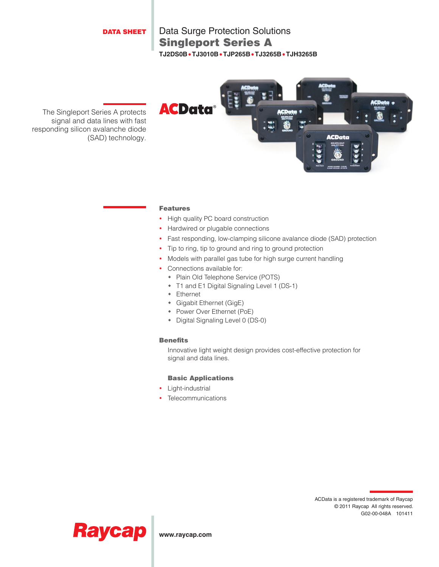### DATA SHEET

## Singleport Series A Data Surge Protection Solutions **TJ2DS0B**•**TJ3010B**•**TJP265B**•**TJ3265B**•**TJH3265B**

The Singleport Series A protects signal and data lines with fast responding silicon avalanche diode (SAD) technology.



#### Features

- High quality PC board construction
- Hardwired or plugable connections
- Fast responding, low-clamping silicone avalance diode (SAD) protection
- Tip to ring, tip to ground and ring to ground protection
- Models with parallel gas tube for high surge current handling
- Connections available for:
	- Plain Old Telephone Service (POTS)
	- T1 and E1 Digital Signaling Level 1 (DS-1)
	- Ethernet
	- Gigabit Ethernet (GigE)
	- Power Over Ethernet (PoE)
	- Digital Signaling Level 0 (DS-0)

#### **Benefits**

Innovative light weight design provides cost-effective protection for signal and data lines.

#### Basic Applications

- Light-industrial
- Telecommunications





**www.raycap.com**